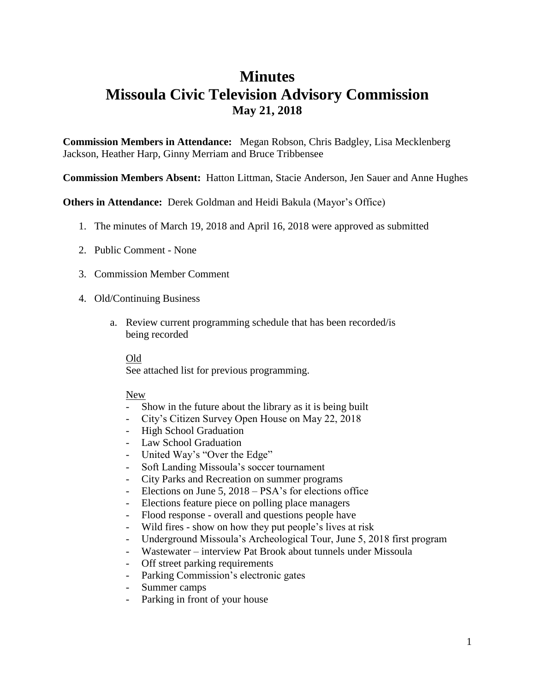# **Minutes Missoula Civic Television Advisory Commission May 21, 2018**

**Commission Members in Attendance:** Megan Robson, Chris Badgley, Lisa Mecklenberg Jackson, Heather Harp, Ginny Merriam and Bruce Tribbensee

**Commission Members Absent:** Hatton Littman, Stacie Anderson, Jen Sauer and Anne Hughes

**Others in Attendance:** Derek Goldman and Heidi Bakula (Mayor's Office)

- 1. The minutes of March 19, 2018 and April 16, 2018 were approved as submitted
- 2. Public Comment None
- 3. Commission Member Comment
- 4. Old/Continuing Business
	- a. Review current programming schedule that has been recorded/is being recorded

#### Old

See attached list for previous programming.

#### New

- Show in the future about the library as it is being built
- City's Citizen Survey Open House on May 22, 2018
- High School Graduation
- Law School Graduation
- United Way's "Over the Edge"
- Soft Landing Missoula's soccer tournament
- City Parks and Recreation on summer programs
- Elections on June 5, 2018 PSA's for elections office
- Elections feature piece on polling place managers
- Flood response overall and questions people have
- Wild fires show on how they put people's lives at risk
- Underground Missoula's Archeological Tour, June 5, 2018 first program
- Wastewater interview Pat Brook about tunnels under Missoula
- Off street parking requirements
- Parking Commission's electronic gates
- Summer camps
- Parking in front of your house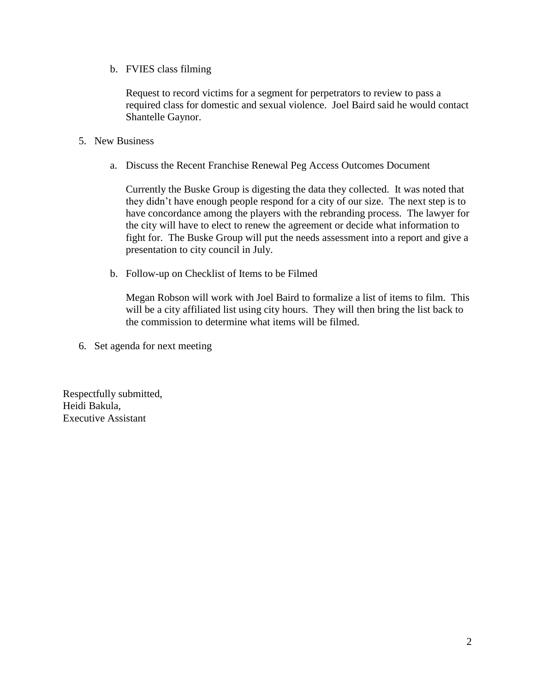b. FVIES class filming

Request to record victims for a segment for perpetrators to review to pass a required class for domestic and sexual violence. Joel Baird said he would contact Shantelle Gaynor.

- 5. New Business
	- a. Discuss the Recent Franchise Renewal Peg Access Outcomes Document

Currently the Buske Group is digesting the data they collected. It was noted that they didn't have enough people respond for a city of our size. The next step is to have concordance among the players with the rebranding process. The lawyer for the city will have to elect to renew the agreement or decide what information to fight for. The Buske Group will put the needs assessment into a report and give a presentation to city council in July.

b. Follow-up on Checklist of Items to be Filmed

Megan Robson will work with Joel Baird to formalize a list of items to film. This will be a city affiliated list using city hours. They will then bring the list back to the commission to determine what items will be filmed.

6. Set agenda for next meeting

Respectfully submitted, Heidi Bakula, Executive Assistant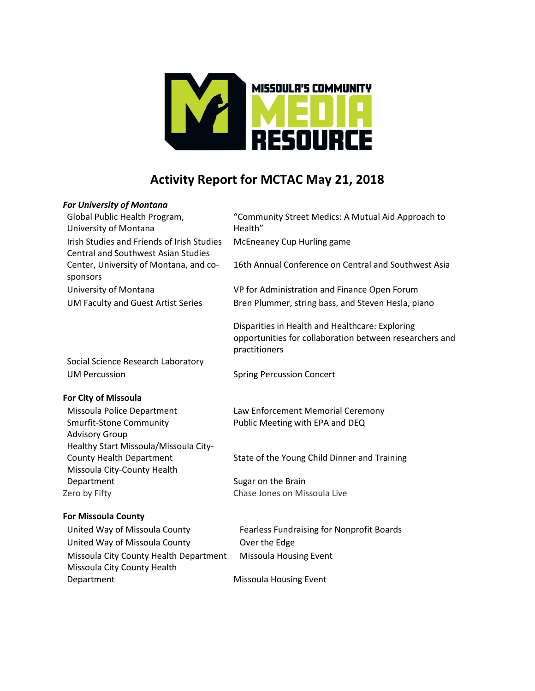

# **Activity Report for MCTAC May 21, 2018**

#### *For University of Montana*

| Global Public Health Program,              |
|--------------------------------------------|
| University of Montana                      |
| Irish Studies and Friends of Irish Studies |
| <b>Central and Southwest Asian Studies</b> |
| Center, University of Montana, and co-     |
| sponsors                                   |
| University of Montana                      |
| <b>UM Faculty and Guest Artist Series</b>  |

"Community Street Medics: A Mutual Aid Approach to Health" McEneaney Cup Hurling game

16th Annual Conference on Central and Southwest Asia

VP for Administration and Finance Open Forum Bren Plummer, string bass, and Steven Hesla, piano

Disparities in Health and Healthcare: Exploring opportunities for collaboration between researchers and practitioners

Social Science Research Laboratory UM Percussion Spring Percussion Concert

### **For City of Missoula**

Smurfit-Stone Community Advisory Group Healthy Start Missoula/Missoula City-Missoula City-County Health Department Sugar on the Brain Zero by Fifty Chase Jones on Missoula Live

### **For Missoula County**

United Way of Missoula County Fearless Fundraising for Nonprofit Boards United Way of Missoula County **Over the Edge** Missoula City County Health Department Missoula Housing Event Missoula City County Health Department Missoula Housing Event

Missoula Police Department Law Enforcement Memorial Ceremony Public Meeting with EPA and DEQ

County Health Department State of the Young Child Dinner and Training